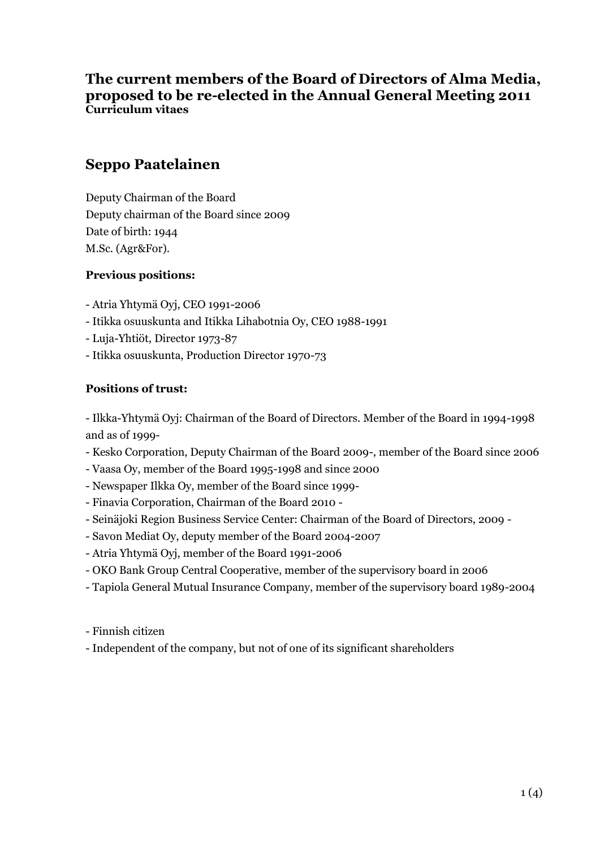## **The current members of the Board of Directors of Alma Media, proposed to be re-elected in the Annual General Meeting 2011 Curriculum vitaes**

## **Seppo Paatelainen**

Deputy Chairman of the Board Deputy chairman of the Board since 2009 Date of birth: 1944 M.Sc. (Agr&For).

### **Previous positions:**

- Atria Yhtymä Oyj, CEO 1991-2006
- Itikka osuuskunta and Itikka Lihabotnia Oy, CEO 1988-1991
- Luja-Yhtiöt, Director 1973-87
- Itikka osuuskunta, Production Director 1970-73

### **Positions of trust:**

- Ilkka-Yhtymä Oyj: Chairman of the Board of Directors. Member of the Board in 1994-1998 and as of 1999-

- Kesko Corporation, Deputy Chairman of the Board 2009-, member of the Board since 2006
- Vaasa Oy, member of the Board 1995-1998 and since 2000
- Newspaper Ilkka Oy, member of the Board since 1999-
- Finavia Corporation, Chairman of the Board 2010 -
- Seinäjoki Region Business Service Center: Chairman of the Board of Directors, 2009 -
- Savon Mediat Oy, deputy member of the Board 2004-2007
- Atria Yhtymä Oyj, member of the Board 1991-2006
- OKO Bank Group Central Cooperative, member of the supervisory board in 2006
- Tapiola General Mutual Insurance Company, member of the supervisory board 1989-2004
- Finnish citizen
- Independent of the company, but not of one of its significant shareholders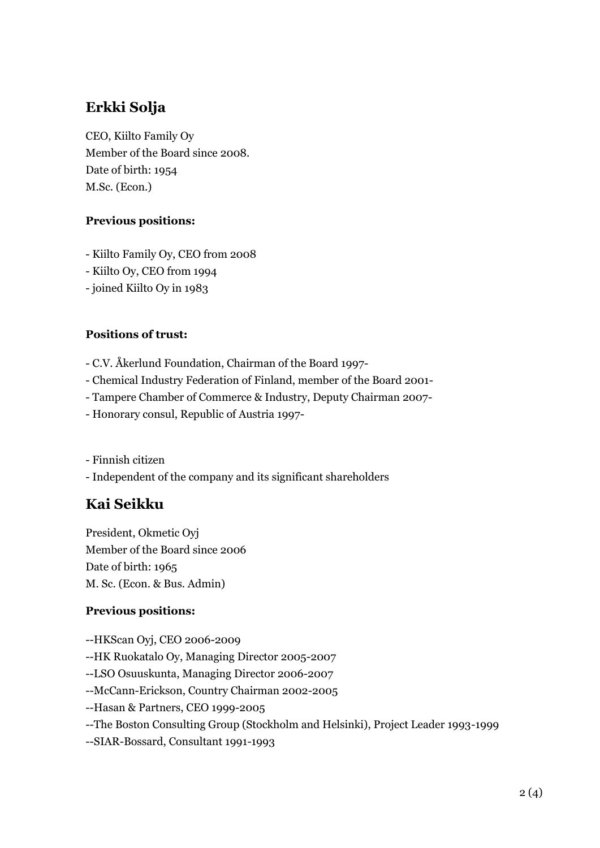# **Erkki Solja**

CEO, Kiilto Family Oy Member of the Board since 2008. Date of birth: 1954 M.Sc. (Econ.)

## **Previous positions:**

- Kiilto Family Oy, CEO from 2008
- Kiilto Oy, CEO from 1994
- joined Kiilto Oy in 1983

## **Positions of trust:**

- C.V. Åkerlund Foundation, Chairman of the Board 1997-
- Chemical Industry Federation of Finland, member of the Board 2001-
- Tampere Chamber of Commerce & Industry, Deputy Chairman 2007-
- Honorary consul, Republic of Austria 1997-

- Finnish citizen

- Independent of the company and its significant shareholders

# **Kai Seikku**

President, Okmetic Oyj Member of the Board since 2006 Date of birth: 1965 M. Sc. (Econ. & Bus. Admin)

## **Previous positions:**

- --HKScan Oyj, CEO 2006-2009
- --HK Ruokatalo Oy, Managing Director 2005-2007

--LSO Osuuskunta, Managing Director 2006-2007

- --McCann-Erickson, Country Chairman 2002-2005
- --Hasan & Partners, CEO 1999-2005
- --The Boston Consulting Group (Stockholm and Helsinki), Project Leader 1993-1999
- --SIAR-Bossard, Consultant 1991-1993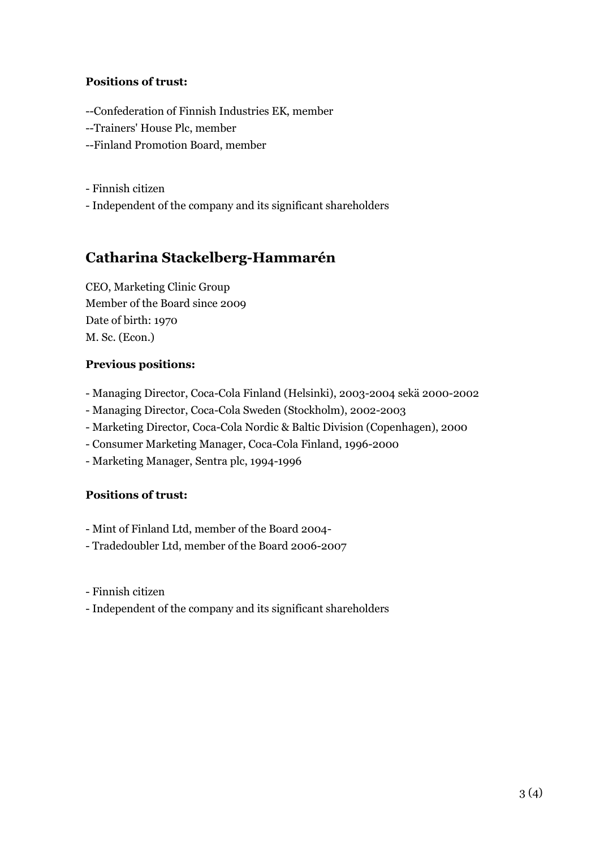### **Positions of trust:**

--Confederation of Finnish Industries EK, member

- --Trainers' House Plc, member
- --Finland Promotion Board, member

- Finnish citizen

- Independent of the company and its significant shareholders

## **Catharina Stackelberg-Hammarén**

CEO, Marketing Clinic Group Member of the Board since 2009 Date of birth: 1970 M. Sc. (Econ.)

## **Previous positions:**

- Managing Director, Coca-Cola Finland (Helsinki), 2003-2004 sekä 2000-2002
- Managing Director, Coca-Cola Sweden (Stockholm), 2002-2003
- Marketing Director, Coca-Cola Nordic & Baltic Division (Copenhagen), 2000
- Consumer Marketing Manager, Coca-Cola Finland, 1996-2000
- Marketing Manager, Sentra plc, 1994-1996

## **Positions of trust:**

- Mint of Finland Ltd, member of the Board 2004-
- Tradedoubler Ltd, member of the Board 2006-2007
- Finnish citizen
- Independent of the company and its significant shareholders